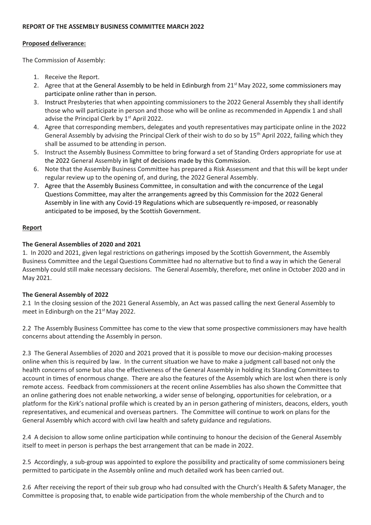# **REPORT OF THE ASSEMBLY BUSINESS COMMITTEE MARCH 2022**

#### **Proposed deliverance:**

The Commission of Assembly:

- 1. Receive the Report.
- 2. Agree that at the General Assembly to be held in Edinburgh from  $21<sup>st</sup>$  May 2022, some commissioners may participate online rather than in person.
- 3. Instruct Presbyteries that when appointing commissioners to the 2022 General Assembly they shall identify those who will participate in person and those who will be online as recommended in Appendix 1 and shall advise the Principal Clerk by 1<sup>st</sup> April 2022.
- 4. Agree that corresponding members, delegates and youth representatives may participate online in the 2022 General Assembly by advising the Principal Clerk of their wish to do so by 15<sup>th</sup> April 2022, failing which they shall be assumed to be attending in person.
- 5. Instruct the Assembly Business Committee to bring forward a set of Standing Orders appropriate for use at the 2022 General Assembly in light of decisions made by this Commission.
- 6. Note that the Assembly Business Committee has prepared a Risk Assessment and that this will be kept under regular review up to the opening of, and during, the 2022 General Assembly.
- 7. Agree that the Assembly Business Committee, in consultation and with the concurrence of the Legal Questions Committee, may alter the arrangements agreed by this Commission for the 2022 General Assembly in line with any Covid-19 Regulations which are subsequently re-imposed, or reasonably anticipated to be imposed, by the Scottish Government.

# **Report**

# **The General Assemblies of 2020 and 2021**

1. In 2020 and 2021, given legal restrictions on gatherings imposed by the Scottish Government, the Assembly Business Committee and the Legal Questions Committee had no alternative but to find a way in which the General Assembly could still make necessary decisions. The General Assembly, therefore, met online in October 2020 and in May 2021.

# **The General Assembly of 2022**

2.1 In the closing session of the 2021 General Assembly, an Act was passed calling the next General Assembly to meet in Edinburgh on the 21<sup>st</sup> May 2022.

2.2 The Assembly Business Committee has come to the view that some prospective commissioners may have health concerns about attending the Assembly in person.

2.3 The General Assemblies of 2020 and 2021 proved that it is possible to move our decision-making processes online when this is required by law. In the current situation we have to make a judgment call based not only the health concerns of some but also the effectiveness of the General Assembly in holding its Standing Committees to account in times of enormous change. There are also the features of the Assembly which are lost when there is only remote access. Feedback from commissioners at the recent online Assemblies has also shown the Committee that an online gathering does not enable networking, a wider sense of belonging, opportunities for celebration, or a platform for the Kirk's national profile which is created by an in person gathering of ministers, deacons, elders, youth representatives, and ecumenical and overseas partners. The Committee will continue to work on plans for the General Assembly which accord with civil law health and safety guidance and regulations.

2.4 A decision to allow some online participation while continuing to honour the decision of the General Assembly itself to meet in person is perhaps the best arrangement that can be made in 2022.

2.5 Accordingly, a sub-group was appointed to explore the possibility and practicality of some commissioners being permitted to participate in the Assembly online and much detailed work has been carried out.

2.6 After receiving the report of their sub group who had consulted with the Church's Health & Safety Manager, the Committee is proposing that, to enable wide participation from the whole membership of the Church and to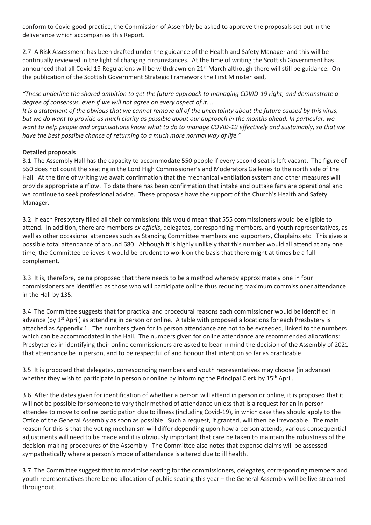conform to Covid good-practice, the Commission of Assembly be asked to approve the proposals set out in the deliverance which accompanies this Report.

2.7 A Risk Assessment has been drafted under the guidance of the Health and Safety Manager and this will be continually reviewed in the light of changing circumstances. At the time of writing the Scottish Government has announced that all Covid-19 Regulations will be withdrawn on 21<sup>st</sup> March although there will still be guidance. On the publication of the Scottish Government Strategic Framework the First Minister said,

*"These underline the shared ambition to get the future approach to managing COVID-19 right, and demonstrate a degree of consensus, even if we will not agree on every aspect of it…..*

*It is a statement of the obvious that we cannot remove all of the uncertainty about the future caused by this virus, but we do want to provide as much clarity as possible about our approach in the months ahead. In particular, we want to help people and organisations know what to do to manage COVID-19 effectively and sustainably, so that we have the best possible chance of returning to a much more normal way of life."*

# **Detailed proposals**

3.1 The Assembly Hall has the capacity to accommodate 550 people if every second seat is left vacant. The figure of 550 does not count the seating in the Lord High Commissioner's and Moderators Galleries to the north side of the Hall. At the time of writing we await confirmation that the mechanical ventilation system and other measures will provide appropriate airflow. To date there has been confirmation that intake and outtake fans are operational and we continue to seek professional advice. These proposals have the support of the Church's Health and Safety Manager.

3.2 If each Presbytery filled all their commissions this would mean that 555 commissioners would be eligible to attend. In addition, there are members *ex officiis*, delegates, corresponding members, and youth representatives, as well as other occasional attendees such as Standing Committee members and supporters, Chaplains etc. This gives a possible total attendance of around 680. Although it is highly unlikely that this number would all attend at any one time, the Committee believes it would be prudent to work on the basis that there might at times be a full complement.

3.3 It is, therefore, being proposed that there needs to be a method whereby approximately one in four commissioners are identified as those who will participate online thus reducing maximum commissioner attendance in the Hall by 135.

3.4 The Committee suggests that for practical and procedural reasons each commissioner would be identified in advance (by  $1<sup>st</sup>$  April) as attending in person or online. A table with proposed allocations for each Presbytery is attached as Appendix 1. The numbers given for in person attendance are not to be exceeded, linked to the numbers which can be accommodated in the Hall. The numbers given for online attendance are recommended allocations: Presbyteries in identifying their online commissioners are asked to bear in mind the decision of the Assembly of 2021 that attendance be in person, and to be respectful of and honour that intention so far as practicable.

3.5 It is proposed that delegates, corresponding members and youth representatives may choose (in advance) whether they wish to participate in person or online by informing the Principal Clerk by 15<sup>th</sup> April.

3.6 After the dates given for identification of whether a person will attend in person or online, it is proposed that it will not be possible for someone to vary their method of attendance unless that is a request for an in person attendee to move to online participation due to illness (including Covid-19), in which case they should apply to the Office of the General Assembly as soon as possible. Such a request, if granted, will then be irrevocable. The main reason for this is that the voting mechanism will differ depending upon how a person attends; various consequential adjustments will need to be made and it is obviously important that care be taken to maintain the robustness of the decision-making procedures of the Assembly. The Committee also notes that expense claims will be assessed sympathetically where a person's mode of attendance is altered due to ill health.

3.7 The Committee suggest that to maximise seating for the commissioners, delegates, corresponding members and youth representatives there be no allocation of public seating this year – the General Assembly will be live streamed throughout.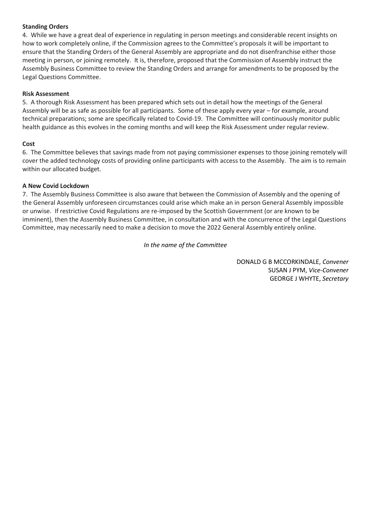# **Standing Orders**

4. While we have a great deal of experience in regulating in person meetings and considerable recent insights on how to work completely online, if the Commission agrees to the Committee's proposals it will be important to ensure that the Standing Orders of the General Assembly are appropriate and do not disenfranchise either those meeting in person, or joining remotely. It is, therefore, proposed that the Commission of Assembly instruct the Assembly Business Committee to review the Standing Orders and arrange for amendments to be proposed by the Legal Questions Committee.

#### **Risk Assessment**

5. A thorough Risk Assessment has been prepared which sets out in detail how the meetings of the General Assembly will be as safe as possible for all participants. Some of these apply every year – for example, around technical preparations; some are specifically related to Covid-19. The Committee will continuously monitor public health guidance as this evolves in the coming months and will keep the Risk Assessment under regular review.

# **Cost**

6. The Committee believes that savings made from not paying commissioner expenses to those joining remotely will cover the added technology costs of providing online participants with access to the Assembly. The aim is to remain within our allocated budget.

# **A New Covid Lockdown**

7. The Assembly Business Committee is also aware that between the Commission of Assembly and the opening of the General Assembly unforeseen circumstances could arise which make an in person General Assembly impossible or unwise. If restrictive Covid Regulations are re-imposed by the Scottish Government (or are known to be imminent), then the Assembly Business Committee, in consultation and with the concurrence of the Legal Questions Committee, may necessarily need to make a decision to move the 2022 General Assembly entirely online.

# *In the name of the Committee*

DONALD G B MCCORKINDALE, *Convener* SUSAN J PYM, *Vice-Convener* GEORGE J WHYTE, *Secretary*